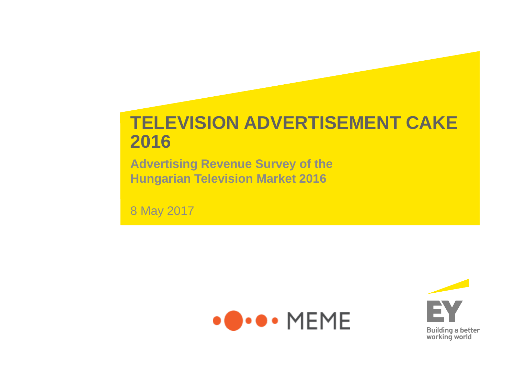# **TELEVISION ADVERTISEMENT CAKE 2016**

**Advertising Revenue Survey of the Hungarian Television Market 2016**

8 May 2017



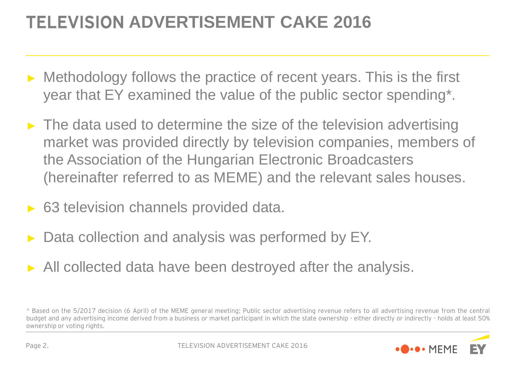# TELEVISION **ADVERTISEMENT CAKE 2016**

- ► Methodology follows the practice of recent years. This is the first year that EY examined the value of the public sector spending\*.
- $\blacktriangleright$  The data used to determine the size of the television advertising market was provided directly by television companies, members of the Association of the Hungarian Electronic Broadcasters (hereinafter referred to as MEME) and the relevant sales houses.
- ► 63 television channels provided data.
- Data collection and analysis was performed by EY.
- ► All collected data have been destroyed after the analysis.

<sup>\*</sup> Based on the 5/2017 decision (6 April) of the MEME general meeting: Public sector advertising revenue refers to all advertising revenue from the central budget and any advertising income derived from a business or market participant in which the state ownership - either directly or indirectly - holds at least 50% ownership or voting rights.

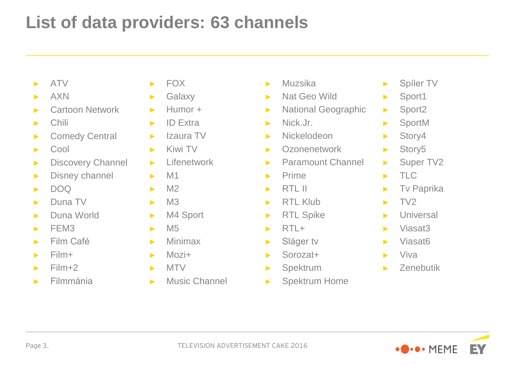# **List of data providers: 63 channels**

- ► ATV
- ► AXN
- ► Cartoon Network
- ► Chili
- ► Comedy Central
- ► Cool
- ► Discovery Channel
- ► Disney channel
- $\blacktriangleright$  DOQ
- ► Duna TV
- ► Duna World
- $\blacktriangleright$  FFM3
- ► Film Café
- ► Film+
- $\blacktriangleright$  Film+2
- ► Filmmánia
- ► FOX
- ► Galaxy
- ► Humor +
- ► ID Extra
- ► Izaura TV
- ► Kiwi TV
- ► Lifenetwork
- $\blacktriangleright$  M1
- $\blacktriangleright$  M2
- $\blacktriangleright$  M3
- ► M4 Sport
- $\blacktriangleright$  M<sub>5</sub>
- ► Minimax
- $Mozi+$
- ► MTV
- ► Music Channel
- ► Muzsika
- ► Nat Geo Wild
- ► National Geographic
- ► Nick.Jr.
- ► Nickelodeon
- ► Ozonenetwork
- ► Paramount Channel
- ► Prime
- $\blacktriangleright$  RTL II
- ► RTL Klub
- ► RTL Spike
- $\blacktriangleright$  RTL+
- ► Sláger tv
- ► Sorozat+
- ► Spektrum
- ► Spektrum Home
- ► Spíler TV
- ► Sport1
- ► Sport2
- ► SportM
- ► Story4
- ► Story5
- ► Super TV2
- $\blacktriangleright$  TLC
- ► Tv Paprika
- $\blacktriangleright$  TV2
- ► Universal
- ► Viasat3
- ► Viasat6
- ► Viva
- ► Zenebutik

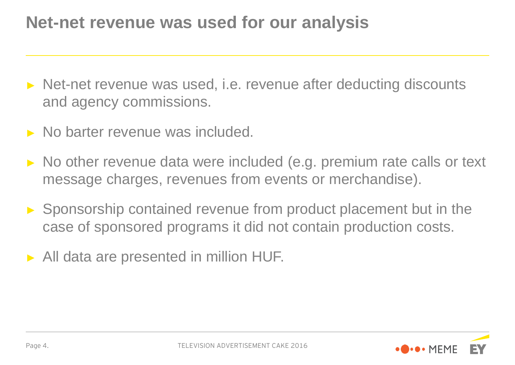## **Net-net revenue was used for our analysis**

- ► Net-net revenue was used, i.e. revenue after deducting discounts and agency commissions.
- ► No barter revenue was included.
- ► No other revenue data were included (e.g. premium rate calls or text message charges, revenues from events or merchandise).
- ► Sponsorship contained revenue from product placement but in the case of sponsored programs it did not contain production costs.
- ► All data are presented in million HUF.

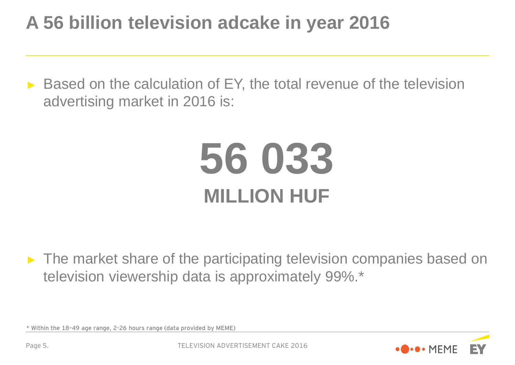# **A 56 billion television adcake in year 2016**

► Based on the calculation of EY, the total revenue of the television advertising market in 2016 is:

# **56 033 MILLION HUF**

► The market share of the participating television companies based on television viewership data is approximately 99%.\*



<sup>\*</sup> Within the 18–49 age range, 2-26 hours range (data provided by MEME)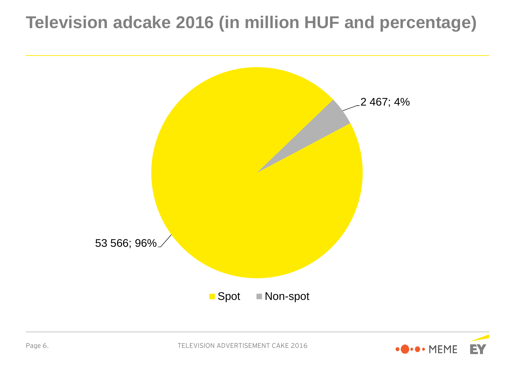# **Television adcake 2016 (in million HUF and percentage)**



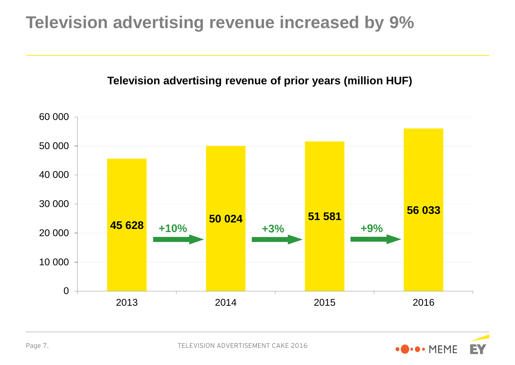# **Television advertising revenue increased by 9%**

### **Television advertising revenue of prior years (million HUF)**



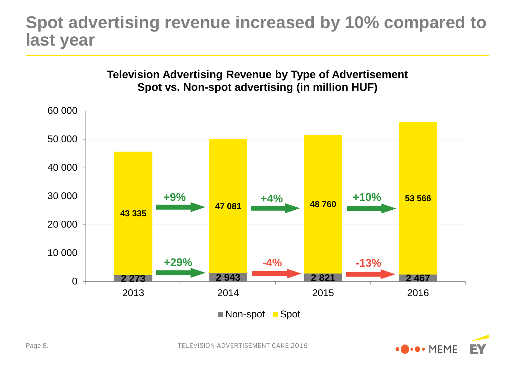### **Spot advertising revenue increased by 10% compared to last year**



# **Television Advertising Revenue by Type of Advertisement**

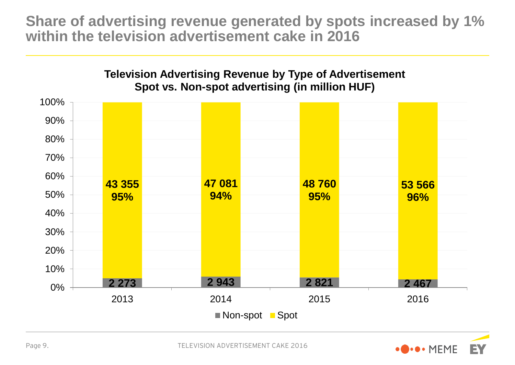**Share of advertising revenue generated by spots increased by 1% within the television advertisement cake in 2016**





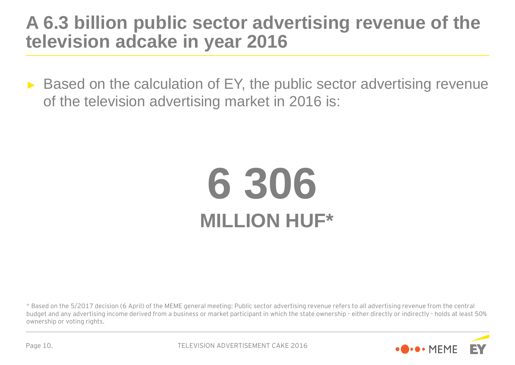## **A 6.3 billion public sector advertising revenue of the television adcake in year 2016**

► Based on the calculation of EY, the public sector advertising revenue of the television advertising market in 2016 is:

# **6 306 MILLION HUF\***

\* Based on the 5/2017 decision (6 April) of the MEME general meeting: Public sector advertising revenue refers to all advertising revenue from the central budget and any advertising income derived from a business or market participant in which the state ownership - either directly or indirectly - holds at least 50% ownership or voting rights.

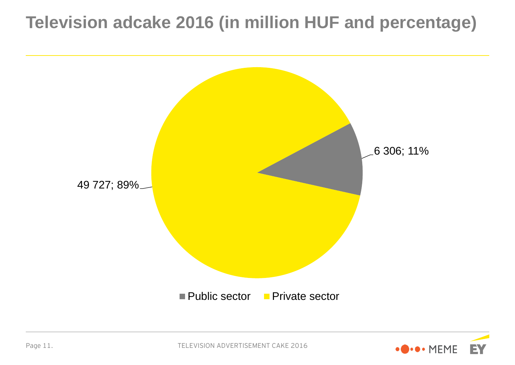# **Television adcake 2016 (in million HUF and percentage)**



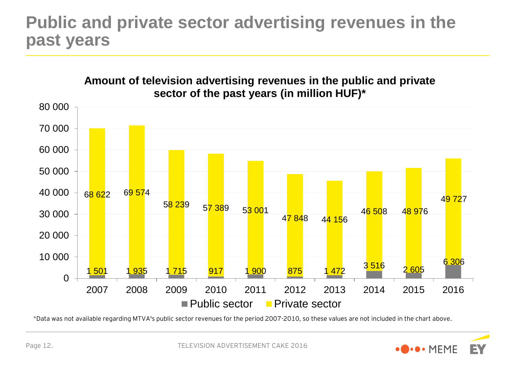## **Public and private sector advertising revenues in the past years**



\*Data was not available regarding MTVA's public sector revenues for the period 2007-2010, so these values are not included in the chart above.

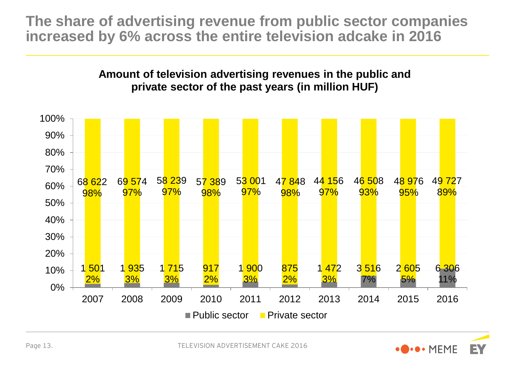**The share of advertising revenue from public sector companies increased by 6% across the entire television adcake in 2016**

### **Amount of television advertising revenues in the public and private sector of the past years (in million HUF)**



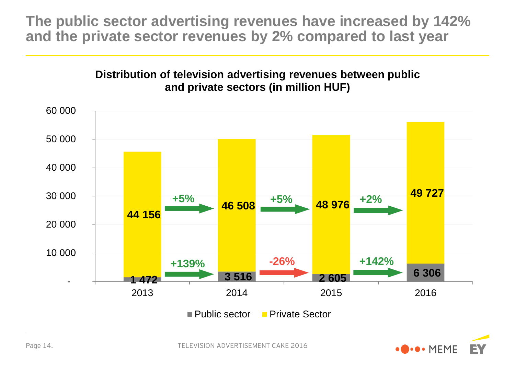**The public sector advertising revenues have increased by 142% and the private sector revenues by 2% compared to last year**

### **Distribution of television advertising revenues between public and private sectors (in million HUF)**



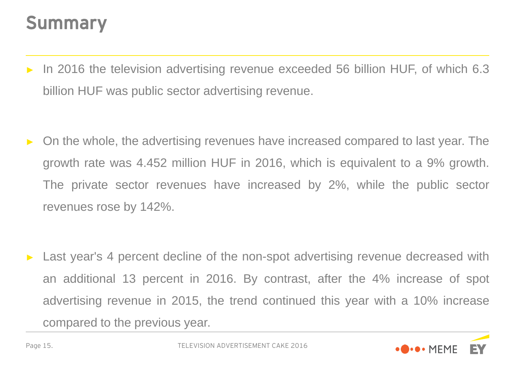# Summary

- In 2016 the television advertising revenue exceeded 56 billion HUF, of which 6.3 billion HUF was public sector advertising revenue.
- ► On the whole, the advertising revenues have increased compared to last year. The growth rate was 4.452 million HUF in 2016, which is equivalent to a 9% growth. The private sector revenues have increased by 2%, while the public sector revenues rose by 142%.

Last year's 4 percent decline of the non-spot advertising revenue decreased with an additional 13 percent in 2016. By contrast, after the 4% increase of spot advertising revenue in 2015, the trend continued this year with a 10% increase compared to the previous year.

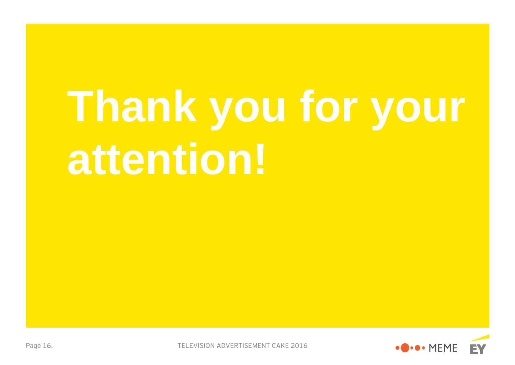# **Thank you for your attention!**